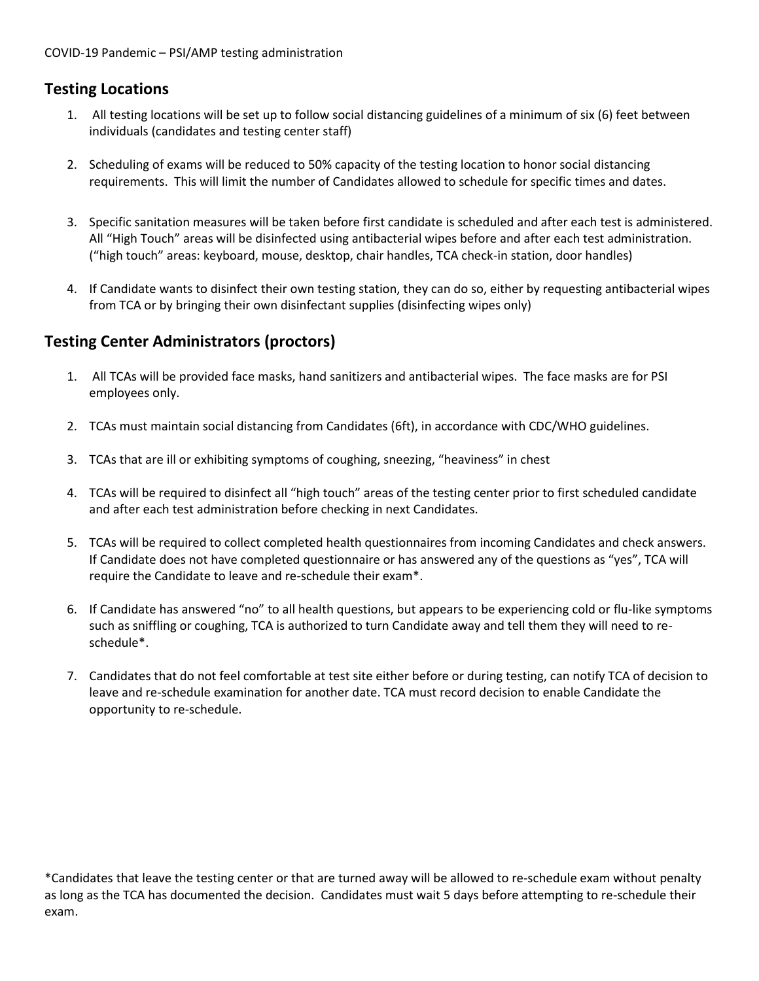## **Testing Locations**

- 1. All testing locations will be set up to follow social distancing guidelines of a minimum of six (6) feet between individuals (candidates and testing center staff)
- 2. Scheduling of exams will be reduced to 50% capacity of the testing location to honor social distancing requirements. This will limit the number of Candidates allowed to schedule for specific times and dates.
- 3. Specific sanitation measures will be taken before first candidate is scheduled and after each test is administered. All "High Touch" areas will be disinfected using antibacterial wipes before and after each test administration. ("high touch" areas: keyboard, mouse, desktop, chair handles, TCA check-in station, door handles)
- 4. If Candidate wants to disinfect their own testing station, they can do so, either by requesting antibacterial wipes from TCA or by bringing their own disinfectant supplies (disinfecting wipes only)

## **Testing Center Administrators (proctors)**

- 1. All TCAs will be provided face masks, hand sanitizers and antibacterial wipes. The face masks are for PSI employees only.
- 2. TCAs must maintain social distancing from Candidates (6ft), in accordance with CDC/WHO guidelines.
- 3. TCAs that are ill or exhibiting symptoms of coughing, sneezing, "heaviness" in chest
- 4. TCAs will be required to disinfect all "high touch" areas of the testing center prior to first scheduled candidate and after each test administration before checking in next Candidates.
- 5. TCAs will be required to collect completed health questionnaires from incoming Candidates and check answers. If Candidate does not have completed questionnaire or has answered any of the questions as "yes", TCA will require the Candidate to leave and re-schedule their exam\*.
- 6. If Candidate has answered "no" to all health questions, but appears to be experiencing cold or flu-like symptoms such as sniffling or coughing, TCA is authorized to turn Candidate away and tell them they will need to reschedule\*.
- 7. Candidates that do not feel comfortable at test site either before or during testing, can notify TCA of decision to leave and re-schedule examination for another date. TCA must record decision to enable Candidate the opportunity to re-schedule.

\*Candidates that leave the testing center or that are turned away will be allowed to re-schedule exam without penalty as long as the TCA has documented the decision. Candidates must wait 5 days before attempting to re-schedule their exam.